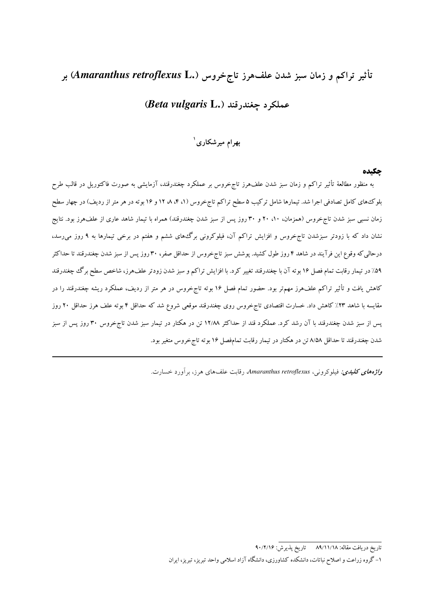# تأثیر تراکم و زمان سبز شدن علفهرز تاجخروس (.Amaranthus retroflexus L) بر

# (Beta vulgaris L.) عملكه د حغندر قند

# بهرام میرشکاری `

#### حكىده

به منظور مطالعهٔ تأثیر تراکم و زمان سبز شدن علفهرز تاجخروس بر عملکرد چغندرقند، آزمایشی به صورت فاکتوریل در قالب طرح بلوکههای کامل تصادفی اجرا شد. تیمارها شامل ترکیب ۵ سطح تراکم تاج خروس (۱، ۴، ۸، ۱۲ و ۱۶ بوته در هر متر از ردیف) در چهار سطح زمان نسبی سبز شدن تاجخروس (همزمان، ۱۰، ۲۰ و ۳۰ روز پس از سبز شدن چغندرقند) همراه با تیمار شاهد عاری از علفهرز بود. نتایج نشان داد که با زودتر سبزشدن تاج خروس و افزایش تراکم آن، فیلوکرونی برگ های ششم و هفتم در برخی تیمارها به ۹ روز می رسد، درحالی که وقوع این فرآیند در شاهد ۴ روز طول کشید. پوشش سبز تاج خروس از حداقل صفر، ۳۰ روز پس از سبز شدن چغندرقند تا حداکثر ۵۹٪ در تیمار رقابت تمام فصل ۱۶ بوته آن با چغندرقند تغییر کرد. با افزایش تراکم و سبز شدن زودتر علفهرز، شاخص سطح برگ چغندرقند کاهش یافت و تأثیر تراکم علفهرز مهمتر بود. حضور تمام فصل ۱۶ بوته تاجِخروس در هر متر از ردیف، عملکرد ریشه چغندرقند را در مقایسه با شاهد ۲۳٪ کاهش داد. خسارت اقتصادی تاج خروس روی چغندرقند موقعی شروع شد که حداقل ۴ بوته علف هرز حداقل ۲۰ روز یس از سبز شدن چغندرقند با آن رشد کرد. عملکرد قند از حداکثر ۱۲/۸۸ تن در هکتار در تیمار سبز شدن تاجخروس ۳۰ روز پس از سبز شدن چغندرقند تا حداقل ۸/۵۸ تن در هکتار در تیمار رقابت تمامفصل ۱۶ بوته تاج خروس متغیر بود.

و*اژههای کلیدی:* فیلوکرونی، Amaranthus retroflexus، رقابت علفهای هرز، برآورد خسارت.

<sup>-&</sup>lt;br>تاريخ دريافت مقاله: ٨٩/١١/١٨ - تاريخ يذيرش: ٩٠/٢/١۶

۱– گروه زراعت و اصلاح نباتات، دانشکده کشاورزی، دانشگاه آزاد اسلامی واحد تبریز، تبریز، ایران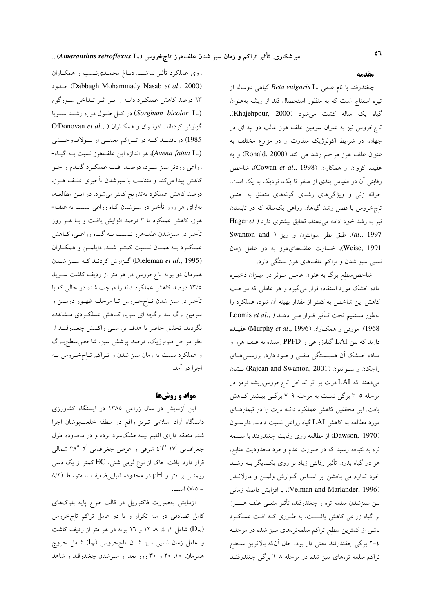روی عملکرد تأثیر نداشت. دبــاغ محمــدی نــسب و همکــاران حلود (Dabbagh Mohammady Nasab et al., 2000) ٦٣ درصد كاهش عملكرد دانـه را بـر اثـر تـداخل سـورگوم (Sorghum bicolor L.) در کل طول دوره رشد سویا D'Donovan et al., ) كزارش كردهاند. ادونوان و همكاران 1985) دریافتنــد کــه در تــراکم معینــی از یــولافوحــشی (Avena fatua L.)، هر اندازه این علفهرز نسبت بـه گیـاه-زراعی زودتر سبز شـود، درصـد افـت عملکـرد گنـدم و جـو کاهش پیدا میکند و متناسب با سبزشدن تأخیری علـف هــرز، درصد کاهش عملکرد بهتدریج کمتر میشود. در ایـن مطالعـه، بهازای هر روز تأخیر در سبزشدن گیاه زراعی نسبت به علف-هرز، کاهش عملکرد تا ۳ درصد افزایش یافت و بـا هــر روز تأخیر در سبزشدن علفهرز نــسبت بــه گیــاه زراعــی، کــاهش عملكرد بـه همـان نـسبت كمتـر شـد. دايلمـن و همكـاران (Dieleman et al., 1995) گزارش کردنـد کـه سبز شـدن همزمان دو بوته تاجخروس در هر متر از ردیف کاشت سـویا، ۱۳/۵ درصد کاهش عملکرد دانه را موجب شد، در حالی که با تأخیر در سبز شدن تــاجخــروس تــا مرحلــه ظهــور دومــین و سومین برگ سه برگچه ای سویا، کـاهش عملکـردی مـشاهده نگردید. تحقیق حاضر با هدف بررسـی واکـنش چغندرقنــد از نظر مراحل فنولوژیک، درصد پوشش سبز، شاخص سطحبـرگ و عملکرد نسبت به زمان سبز شدن و تـراکم تـاجخـروس بـه اجرا در آمد.

#### مواد و روشها

این آزمایش در سال زراعی ۱۳۸۵ در ایستگاه کشاورزی دانشگاه آزاد اسلامی تبریز واقع در منطقه خلعتپوشان اجرا شد. منطقه دارای اقلیم نیمهخشکسرد بوده و در محدوده طول جغرافیایی ۱۷ °۴ شرقی و عرض جغرافیایی ′ه °۳۸ شمالی قرار دارد. بافت خاک از نوع لومی شنی، EC کمتر از یک دسی زیمنس بر متر و pH در محدوده قلیایی ضعیف تا متوسط (۸/۲ - ٧/٥) است.

آزمایش بهصورت فاکتوریل در قالب طرح پایه بلوکهای کامل تصادفی در سه تکرار و با دو عامل تراکم تاج خروس شامل ۱، ٤، ٨، ١٢ و ١٦ بوته در هر متر از رديف كاشت  $(\mathbf{D}_\mathrm{w})$ و عامل زمان نسبی سبز شدن تاج خروس ( $\mathrm{I}_\mathrm{w}$ ) شامل خروج همزمان، ۱۰، ۲۰ و ۳۰ روز بعد از سبزشدن چغندرقند و شاهد

#### مقدمه

چغندرقند با نام علمی .Beta vulgaris L گیاهی دوساله از تیره اسفناج است که به منظور استحصال قند از ریشه بهعنوان گیاه یک ساله کشت میشود (Khajehpour, 2000). تاجخروس نیز به عنوان سومین علف هرز غالب دو لپه ای در جهان، در شرایط اکولوژیک متفاوت و در مزارع مختلف به عنوان علف هرز مزاحم رشد می کند (Ronald, 2000) و به عقیده کووان و همکاران (Cowan et al., 1998)، شاخص رقابتی آن در مقیاس بندی از صفر تا یک، نزدیک به یک است. جوانه زنی و ویژگیهای رشدی گونههای متعلق به جنس تاج خروس با فصل رشد گیاهان زراعی یکساله که در تابستان نیز به رشد خود ادامه میدهند، تطابق بیشتری دارد ( Hager et Swanton and ) الحبق نظر سوانتون و ويز ( Swanton and Weise, 1991)، خسارت علفهایهرز به دو عامل زمان نسبی سبز شدن و تراکم علفهای هرز بستگی دارد.

شاخص سطح برگ به عنوان عامـل مـوثر در ميـزان ذخيـره ماده خشک مورد استفاده قرار میگیرد و هر عاملی که موجب کاهش این شاخص به کمتر از مقدار بهینه آن شود، عملکرد را Loomis et al., ) بهطور مستقيم تحت تأثير قرار مى دهـد 1968). مورفی و همکاران (Murphy et al., 1996) عقیـده دارند که بین LAI گیاهزراعی و PPFD رسیده به علف هرز و ماده خشک آن همبستگی منفی وجود دارد. بررسه های راجكان و سوانتون (Rajcan and Swanton, 2001) نـشان میدهند که LAI ذرت بر اثر تداخل تاجخروس ریشه قرمز در مرحله ٥-٣ برگي نسبت به مرحله ٩-٧ برگـي بيــشتر كـاهش یافت. این محققین کاهش عملکرد دانـه ذرت را در تیمارهـای مورد مطالعه به کاهش LAI گیاه زراعی نسبت دادند. داوسون (Dawson, 1970) از مطالعه روی رقابت چغندرقند با سـلمه تره به نتیجه رسید که در صورت عدم وجود محدودیت منابع، هر دو گیاه بدون تأثیر رقابتی زیاد بر روی یک<code>L</code>یگر بــه رشــد خود تداوم می بخشن. بر اسـاس گـزارش ولمـن و مارلانــدر (Velman and Marlander, 1996)، با افزایش فاصله زمانی بين سبزشدن سلمه تره و چغندرقند، تأثير منفـي علف هــــــرز بر گیاه زراعی کاهش یافـــت، به طـوری کـه افـت عملکـرد ناشی از کمترین سطح تراکم سلمهترههای سبز شده در مرحلـه ٤-٢ برگي چغندرقند معني دار بود، حال آنکه بالاترين سـطح تراکم سلمه ترههای سبز شده در مرحله ۸-٦ برگی چغندرقنـد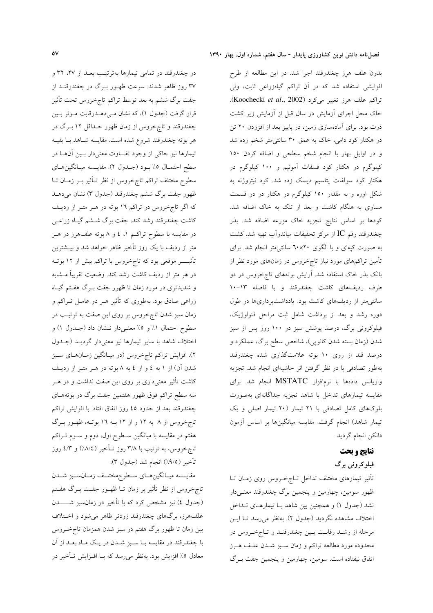در چغندرقند در تمامی تیمارها بهترتیب بعـد از ۲۷، ۳۲ و ۳۷ روز ظاهر شدند. سرعت ظهـور بـرگ در چغندرقنـد از جفت برگ ششم به بعد توسط تراکم تاجخروس تحت تأثیر قرار گرفت (جدول ۱)، که نشان مےدهـدرقابت مـوثر بـين چغندرقند و تاجخروس از زمان ظهور حــداقل ۱۲ بــرگ در هر بوته چغندرقند شروع شده است. مقايسه شـاهد بــا بقيــه تیمارها نیز حاکی از وجود تفـــاوت معنی۱دار بــین آن۱ــا در سطح احتمـال ٥٪ بـود (جـدول ٢). مقايـسه ميـانگينهـاي سطوح مختلف تراكم تاجخروس از نظر تـأثير بــر زمــان تــا ظهور جفت برگ ششم چغندرقند (جدول ۳) نشان میدهـد که اگر تاج خروس در تراکم ۱۶ بوته در هـر متـر از رديـف کاشت چغندرقند رشد کند، جفت برگ شــشم گیــاه زراعــی در مقایسه با سطوح تراکـم ۱، ٤ و ۸ بوته علفهرز در هــر متر از ردیف با یک روز تأخیر ظاهر خواهد شد و بیــشترین تأثیـــــــر موقعی بود که تاجخروس با تراکم بیش از ۱۲ بوتــه در هر متر از رديف كاشت رشد كند. وضعيت تقريباً مــشابه و شدیدتری در مورد زمان تا ظهور جفت بــرگ هفــتم گیــاه زراعی صادق بود. بهطوری که تأثیر هــر دو عامــل تــراکم و زمان سبز شدن تاجخروس بر روی این صفت به ترتیب در سطوح احتمال ١٪ و ٥٪ معنـىدار نـشان داد (جـدول ١) و اختلاف شاهد با سایر تیمارها نیز معنیدار گردیـد (جـدول ۲). افزایش تراکم تاجخروس (در میـانگین زمـانهـای سـبز شدن آن) از ۱ به ٤ و از ٤ به ٨ بوته در هـر متـر از رديـف کاشت تأثیر معنیداری بر روی این صفت نداشت و در هــر سه سطح تراکم فوق ظهور هفتمین جفت برگ در بوتههـای چغندرقند بعد از حدود ٤٥ روز اتفاق افتاد. با افزايش تراكم تاجخروس از ۸ به ۱۲ و از ۱۲ بـه ۱۲ بوتــه، ظهـور بــرگ هفتم در مقایسه با میانگین سطوح اول، دوم و سـوم تـراکم تاج خروس، به ترتیب با ۳/۸ روز تـأخیر (۸/٤/) و ٤/٣ روز تأخير (٩/٥٪) انجام شد (جدول ٣).

مقايــسه ميــانگينهــاي ســطوحمختلــف زمــانســبز شــدن تاج خروس از نظر تأثیر بر زمان تــا ظهــور جفــت بــرگ هفــتم (جدول ٤) نیز مشخص کرد که با تأخیر در زمانسبز شــــــــدن علفهرز، برگهای چغندرقند زودتر ظاهر میشود و اخـتلاف بین زمان تا ظهور برگ هفتم در سبز شدن همزمان تاج خروس با چغندرقند در مقایسه بــا ســبز شــدن در یــک مــاه بعــد از آن معادل ٥٪ افزایش بود. بهنظر میرسد که بــا افــزایش تــأخیر در

بدون علف هرز چغندرقند اجرا شد. در این مطالعه از طرح افزایشی استفاده شد که در آن تراکم گیاهزراعی ثابت، ولی تراكم علف هرز تغيير مي كرد (Koochecki et al., 2002). خاک محل اجرای آزمایش در سال قبل از آزمایش زیر کشت ذرت بود. برای آمادهسازی زمین، در پاییز بعد از افزودن ۲۰ تن در هکتار کود دامی، خاک به عمق ۳۰ سانتی متر شخم زده شد و در اوایل بهار با انجام شخم سطحی و اضافه کردن ١٥٠ کیلوگرم در هکتار کود فسفات آمونیم و ۱۰۰ کیلوگرم در هکتار کود سولفات پتاسیم دیسک زده شد. کود نیتروژنه به شکل اوره و به مقدار ۱۵۰ کیلوگرم در هکتار در دو قسمت مساوی به هنگام کاشت و بعد از تنک به خاک اضافه شد. كودها بر اساس نتايج تجزيه خاك مزرعه اضافه شد. بذر چغندرقند رقم IC از مرکز تحقیقات میاندوآب تهیه شد. کشت به صورت کپهای و با الگوی ۲۰×۲۰ سانتی متر انجام شد. برای تأمین تراکمهای مورد نیاز تاجخروس در زمانهای مورد نظر از بانک بذر خاک استفاده شد. آرایش بوتههای تاجخروس در دو طرف رديفهاي كاشت چغندرقند و با فاصله ١٣-١٠ سانتی متر از ردیفهای کاشت بود. یادداشتبرداریها در طول دوره رشد و بعد از برداشت شامل ثبت مراحل فنولوژیک، فیلوکرونی برگ، درصد پوشش سبز در ۱۰۰ روز پس از سبز شدن (زمان بسته شدن کانوپی)، شاخص سطح برگ، عملکرد و درصد قند از روی ۱۰ بوته علامتگذاری شده چغندرقند بهطور تصادفی با در نظر گرفتن اثر حاشیهای انجام شد. تجزیه واریانس دادهها با نرمافزار MSTATC انجام شد. برای مقايسه تيمارهاي تداخل با شاهد تجزيه جداگانهاي بهصورت بلوکهای کامل تصادفی با ٢١ تیمار (٢٠ تیمار اصلی و یک تیمار شاهد) انجام گرفت. مقایسه میانگینها بر اساس آزمون دانكن انجام گرديد.

# نتايج و بحث

فیلوکرونی برگ

تأثیر تیمارهای مختلف تداخل تــاجِخــروس روی زمــان تــا ظهور سومین، چهارمین و پنجمین برگ چغندرقند معنےدار نشد (جدول ۱) و همچنین بین شاهد بـا تیمارهـای تـداخل اختلاف مشاهده نگردید (جدول ۲). بهنظر می رسد تـا ایـن مرحله از رشـد رقابـت بـين چغندرقنـد و تـاجخـروس در محدوده مورد مطالعه تراكم و زمان سـبز شــدن علـف هــرز اتفاق نیفتاده است. سومین، چهارمین و پنجمین جفت بـرگ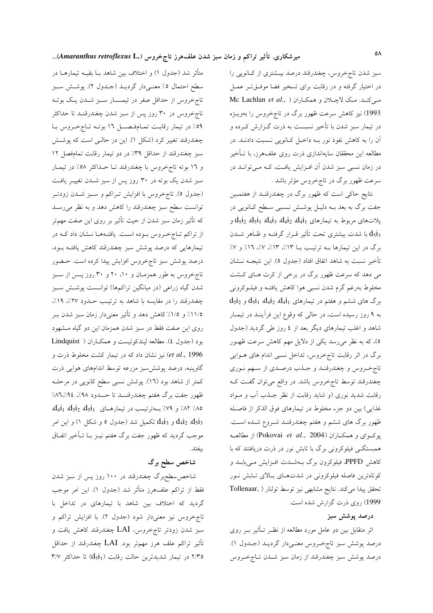سبز شدن تاج خروس، چغندرقند درصد بیـشتری از کـانوپی را در اختیار گرفته و در رقابت برای تسخیر فضا موفتیتر عمل مبي كنـد. مـك لاچـلان و همكـاران ( ,Mc Lachlan *et al* 1993) نیز کاهش سرعت ظهور برگ در تاجخروس را بهویــژه در تیمار سبز شدن با تأخیر نسبــت به ذرت گــزارش کــرده و آن را به کاهش نفوذ نور بــه داخـل کـانویی نــسبت دادنــد. در مطالعه این محققان سایهاندازی ذرت روی علفهرز، با تـأخیر در زمان نسبی سبز شدن آن افـزایش یافـت، کـه مـیتوانـد در سرعت ظهور برگ در تاجخروس مؤثر باشد .

نتایج حاکی است که ظهور برگ در چغندرقنـد از هفتمـین جفت برگ به بعد بــه دليــل پوشــش نــسبي ســطح كــانوپي در  $d_5$ پلاتهای مربوط به تیمارهای  $d_4$ j،  $d_4$ j،  $d_5$ j،  $d_5$ j، و با شدت بیشتری تحت تأثیر قـرار گرفتـه و ظـاهر شــدن  $\mathrm{d}_3\mathrm{i}_3$ برگ در این تیمارها بـه ترتیب بــا ١٣٪، ١٣٪، ١٧٪، ١٦٪ و ٧٪ تأخير نسبت به شاهد اتفاق افتاد (جدول ٥). اين نتيجــه نــشان می دهد که سرعت ظهور برگ در برخی از کرت هـای کـشت مخلوط بهرغم گرم شدن نسبی هوا کاهش یافتـه و فیلــوکرونی  $d_5i_2$  برگ های ششم و هفتم در تیمارهای  $d_4i_1$ ،  $d_4i_2$ ،  $d_5i_1$  و به ۹ روز رسیده است، در حالی که وقوع این فرآینـد در تیمـار شاهد و اغلب تیمارهای دیگر بعد از ٤ روز طی گردید (جدول ٥)، که به نظر میرسد یکی از دلایل مهم کاهش سرعت ظهـور برگ در اثر رقابت تاجخروس، تداخل نسبی اندام های هــوایی تاج خروس و چغندرقنـد و جـذب درصـدي از سـهم نـوري چغندرقند توسط تاجخروس باشد. در واقع می توان گفت ک رقابت شدید نوری (و شاید رقابت از نظر جـذب آب و مـواد غذایی) بین دو جزء مخلوط در تیمارهای فوق الذکر از فاصله ظهور برگ های ششم و هفتم چغندرقنـد شـروع شـده اسـت. بوكواي و همكـاران (Pokovai et al., 2004) از مطالعــه همبستگـی فیلوکرونی برگ با تابش نور در ذرت دریافتند که با کاهش PPFD، فیلوکرون برگ بـهشــدت افــزایش مــییابــد و کوتاهترین فاصله فیلوکرونی در شدتهای بالای تابش نور تحقق پیدا می کند. نتایج مشابهی نیز توسط تولنار ( Tollenaar, 1999) روی ذرت گزارش شده است.

## درصد پوشش سبز

اثر متقابل بین دو عامل مورد مطالعه از نظـر تــأثیر بــر روی درصد پوشش سبز تاجخروس معنـیدار گردیـد (جـدول ۱). درصد پوشش سبز چغندرقند از زمان سبز شـدن تـاجخـروس

متأثر شد (جدول ۱) و اختلاف بین شاهد بــا بقیــه تیمارهــا در سطح احتمال ٥٪ معنـىدار گرديــد (جــدول ٢). پوشــش ســبز تاج خروس از حداقل صفر در تیمـــار سـبز شــدن یـک بوتــه تاج خروس در ۳۰ روز پس از سبز شدن چغندرقنـد تا حداکثر ٥٩٪ در تيمار رقابت تمـامفـصــل ١٦ بوتـه تـاجخـروس بـا چغندرقند تغییر کرد (شکل ۱). این در حالـی است که پوشـش سبز چغندرقند از حداقل ٣٩٪ در دو تيمار رقابت تمامفصل ١٢ و ۱۲ بوته تاجخروس با چغندرقند تــا حــداکثر ۵۸٪ در تیمــار سبز شدن یک بوته در ۳۰ روز پس از سبز شــدن تغییــر یافـت (جدول ٥). تاجخروس با افزايش تـراكم و سـبز شـدن زودتـر توانست سطح سبز چغندرقند را کاهش دهد و به نظر میرسـد که تأثیر زمان سبز شدن از حیث تأثیر بر روی این صفت مهمتر از تراکم تـاج خـروس بـوده اسـت. یافتـههـا نـشان داد کـه در تیمارهایی که درصد پوشش سبز چغندرقند کاهش یافتـه بــود، درصد پوشش سبز تاجخروس افزایش پیدا کرده است. حـضور تاج خروس به طور همزمان و ۱۰، ۲۰ و ۳۰ روز پس از سبز شدن گیاه زراعی (در میانگین تراکمها) توانست پوشش سبز چغندرقند را در مقایسه با شاهد به ترتیب حـدود ۲۷٪، ۱۹٪، ١١/٥٪ و ١/٥٪ كاهش دهد و تأثير معنىدار زمان سبز شدن بـر روی این صفت فقط در سبز شدن همزمان این دو گیاه مـشهود بود (جدول ٤). مطالعه ليندكوئيست و همكـاران ( Lindquist et al., 1996) نیز نشان داد که در تیمار کشت مخلوط ذرت و گاوپنبه، درصد پوشش سبز مزرعه توسط اندامهای هوایی ذرت کمتر از شاهد بود (١٦). پوشش نسبی سطح کانوپی در مرحلــه ظهور جفت برگ هفتم چغندرقنـــد تا حـــدود ۹۸٪، ۸۲٪/۹٤٪ ٨٥/ ٨٢/ و ٧٩/ به ترتيب در تيمارهاى d4i1 d5i2 d5i1 ر  $\rm{d}_4$ و  $\rm{d}_4$  تکمیل شد (جدول ٥ و شکل ١) و این امر  $\rm{d}_4$ تکمیل شد (جدول ٥ و موجب گردید که ظهور جفت برگ هفتم نیـز بــا تــأخیر اتفــاق بيفتد.

## شاخص سطح برگ

شاخص سطح برگ چغندرقند در ۱۰۰ روز پس از سبز شدن فقط از تراكم علفهرز متأثر شد (جدول ۱). اين امر موجب گردید که اختلاف بین شاهد با تیمارهای در تداخل با تاج خروس نیز معنیدار شود (جدول ۲). با افزایش تراکم و سبز شدن زودتر تاجخروس، LAI چغندرقند کاهش یافت و تأثير تراكم علف هرز مهمتر بود. LAI چغندرقند از حداقل ۳/۳۵ در تیمار شدیدترین حالت رقابت ( $\text{d}_3$ ) تا حداکثر ۳/۷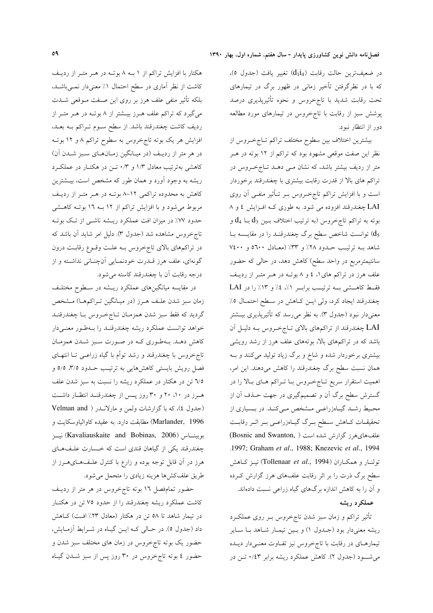در ضعيفترين حالت رقابت (d114) تغيير يافت (جدول ٥)، که با در نظرگرفتن تأخیر زمانی در ظهور برگ در تیمارهای تحت رقابت شدید با تاجخروس و نحوه تأثیرپذیری درصد پوشش سبز از رقابت با تاجخروس در تیمارهای مورد مطالعه دور از انتظار نبود.

بيشترين اختلاف بين سطوح مختلف تراكم تـاجخـروس از نظر این صفت موقعی مشهود بود که تراکم از ۱۲ بوته در هـر متر از ردیف بیشتر باشد، که نشان مـی دهــد تــاجخــروس در تراکم های بالا از قدرت رقابت بیشتری با چغندرقند برخوردار است و با افزایش تراکم تاجخـروس بـر تــأثیر منفــی آن روی LAI چغندرقند افزوده می شود. به طوری کـه افـزایش ٤ و ٨ بوته به تراکم تاجخروس (به ترتیب اختلاف بـین  $\mathrm{d}_3$  بــا  $\mathrm{d}_4$  و توانست شاخص سطح برگ چغندرقنـد را در مقايـسه بـا  $\rm{d}_5$ شاهد بـه ترتيب حـدود ٢٨٪ و ٣٣٪ (معـادل ٥٦٠٠ و ٧٤٠٠ سانتیمترمربع در واحد سطح) کاهش دهد، در حالی که حضور علف هرز در تراکم های ۱، ٤ و ۸ بوتـه در هـر متـر از رديـف فقط کاهشی به ترتیب براسر ١/، ٤/ و ١٣/ را در LAI چغندرقند ایجاد کرد، ولی ایــن کــاهش در ســطح احتمــال ٥٪ معنیدار نبود (جدول ۳). به نظر میرسد که تأثیرپذیری بیـشتر LAI چغندرقند از تراکمهای بالای تـاجخـروس بـه دليـل آن باشد که در تراکمهای بالا، بوتههای علف هرز از رشد رویشی بیشتری برخوردار شده و شاخ و برگ زیاد تولید میکنند و بـه همان نسبت سطح برگ چغندرقند را کاهش میدهند. این امر، اهمیت استقرار سریع تـاجخـروس بــا تــراکم هــای بــالا را در گسترش سطح برگ آن و تصمیمگیری در جهت حــذف آن از محـیط رشـد گیـاهزراعـی مـشخص مـیکنـد. در بــسیاری از تحقیقـات كــاهش ســطح بــرگ گیــاهزراعــي بــر اثــر رقابــت علفهایهرز گزارش شده است ( Bosnic and Swanton,) .1997; Graham et al., 1988; Knezevic et al., 1994 تولنار و همكـاران (Tollenaar et al., 1994) نيـز كـاهش سطح برگ ذرت را بر اثر رقابت علفهای هرز گزارش کـرده و آن را به کاهش اندازه برگهای گیاه زراعی نسبت دادهاند.

#### عملكرد ريشه

تأثیر تراکم و زمان سبز شدن تاجخروس بـر روی عملکـرد ریشه معنیدار بود (جـدول ۱) و بـین تیمـار شـاهد بـا سـایر تیمارهـای در رقابت با تاجخروس نیز تفـاوت معنـیدار دیـده می شود (جدول ۲). کاهش عملکرد ریشه برابر ۰/٤۳ تـن در

هکتار با افزایش تراکم از ۱ بــه ۸ بوتــه در هــر متــر از رديــف کاشت از نظر آماری در سطح احتمال ۱٪ معنیدار نمــیباشــد، بلکه تأثیر منفی علف هرز بر روی این صـفت مـوقعی شــدت میگیرد که تراکم علف هـرز بیــشتر از ۸ بوتـه در هــر متــر از ردیف کاشت چغندرقند باشد. از سطح سـوم تـراکم بــه بعــد، افزایش هر یک بوته تاجخروس به سطوح تراکم ۸ و ۱۲ بوتـه در هر متر از ردیـف (در میـانگین زمـانهـای سـبز شـدن آن) کاهشی بهترتیب معادل ۱/۳ و ۰/۳ تـن در هکتـار در عملکـرد ریشه به وجود آورد و همان طور که مشخص است، بیـشترین کاهش به محدوده تراکمی ۱۲-۸ بوت در هـر متـر از رديـف مربوط میشود و با افزایش تراکم از ۱۲ بـه ۱٦ بوتـه کاهـشی حدود ۷۷٪ در میزان افت عملکرد ریـشه ناشـی از تـک بوتـه تاج خروس مشاهده شد (جدول ٣). دلیل امر شاید آن باشد که در تراکمهای بالای تاجخروس بـه علـت وقـوع رقابـت درون گونهای، علف هرز قـدرت خودنمـایی آنچنـانی نداشـته و از درجه رقابت آن با چغندرقند كاسته مى شود.

در مقایسه میانگینهای عملکرد ریـشه در سـطوح مختلـف زمان سبز شدن علـف هـرز (در ميـانگين تـراكمهـا) مـشخص گرديد كه فقط سبز شدن همزمـان تـاجخـروس بـا چغندرقنـد خواهد توانست عملكرد ريشه چغندرقنـد را بـهطـور معنـىدار کاهش دهـد. بـهطـوري کـه در صـورت سـبز شـدن همزمـان تاج خروس با چغندرقند و رشد توأم با گیاه زراعـی تــا انتهـای فصل رویش بایستی کاهشهایی به ترتیب حـدود ۳/۵، ۵/۵ و 7⁄۵ تن در هکتار در عملکرد ریشه را نسبت به سبز شدن علف هـرز در ۱۰، ۲۰ و ۳۰ روز يـس از چغندرقنــد انتظـار داشــت (جدول ٤)، كه با گزارشات ولمن و مارلاندر ( Velman and Marlander, 1996) مطابقت دارد. به عقیده کاوالیاوسکایت و بوبينــاس (Kavaliauskaite and Bobinas, 2006) نيــز چغندرقند یکی از گیاهان قندی است که خسارت علىفهای هرز در آن قابل توجه بوده و زارع با کنترل علـفAعـایهــرز از طريق علفكشها هزينه زيادي را متحمل مى شود.

حضور تمامفصل ١٦ بوته تاجخروس در هر متر از رديف کاشت عملکرد ریشه چغندرقند را از حدود ۷۵ تن در هکتـار در تیمار شاهد تا ۵۸ تن در هکتار (معادل ۲۳٪ افت) کـاهش داد (جدول ٥). در حـالي كـه ايـن گيـاه در شـرايط آزمـايش، حضور یک بوته تاجخروس در زمان های مختلف سبز شدن و حضور ٤ بوته تاجخروس در ٣٠ روز پس از سبز شــدن گيــاه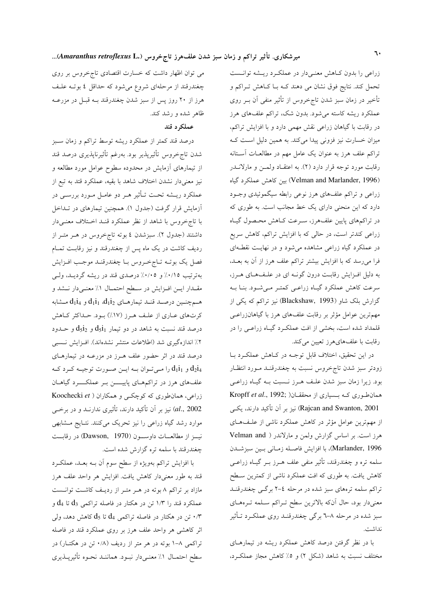زراعی را بدون کاهش معنـیدار در عملکـرد ریـشه توانـست تحمل کند. نتایج فوق نشان می دهند کـه بـا کـاهش تـراکم و تأخیر در زمان سبز شدن تاجخروس از تأثیر منفی آن بـر روی عملکرد ریشه کاسته میشود. بدون شک، تراکم علفهای هرز در رقابت با گیاهان زراعی نقش مهمی دارد و با افزایش تراکم، میزان خسارت نیز فزونی پیدا میکند. به همین دلیل است ک تراکم علف هرز به عنوان یک عامل مهم در مطالعــات آســتانه رقابت مورد توجه قرار دارد (۲). به اعتقـاد ولمـن و مارلانــدر (Velman and Marlander, 1996) بين كاهش عملكرد گياه زراعی و تراکم علفهای هرز نوعی رابطه سیگموئیدی وجـود دارد که این منحنی دارای یک خط مجانب است. به طوری که در تراکمهای پایین علفهرز، سـرعت کـاهش محـصول گیـاه زراعی کندتر است، در حالی که با افزایش تراکم، کاهش سریع در عملکرد گیاه زراعی مشاهده میشود و در نهایـت نقطـهای فرا میرسد که با افزایش بیشتر تراکم علف هرز از آن به بعـد، به دلیل افزایش رقابت درون گونـه ای در علـفهـای هـرز، سرعت کاهش عملکرد گیـاه زراعـی کمتـر مـیشـود. بنـا بــه گزارش بلک شاو (Blackshaw, 1993) نیز تراکم که یکی از مهمترین عوامل مؤثر بر رقابت علفهای هرز با گیاهانزراعـی .<br>قلمداد شده است، بخشی از افت عملکـرد گیـاه زراعـی را در رقابت با علفهایهرز تعیین میکند.

در این تحقیق، اختلاف قابل توجـه در کـاهش عملکـرد بـا زودتر سبز شدن تاجخروس نسبت به چغندرقنـد مـورد انتظـار بود. زیرا زمان سبز شدن علـف هـرز نـسبت بـه گیـاه زراعـی همان طوری که بـسیاری از محققـان( Kropff et al., 1992; Rajcan and Swanton, 2001) نیز بر آن تأکید دارند، یکسی از مهم ترین عوامل مؤثر در کاهش عملکرد ناشی از علـفهـای هرز است. بر اساس گزارش ولمن و مارلاندر ( Velman and Marlander, 1996)، با افزايش فاصله زمـاني بـين سبزشـدن سلمه تره و چغندرقند، تأثیر منفی علف هــرز بــر گیــاه زراعــی کاهش یافت. به طوری که افت عملکرد ناشی از کمترین سطح تراکم سلمه ترههای سبز شده در مرحله ٤-٢ برگـی چغندرقنـد معنىدار بود، حال أنكه بالاترين سطح تـراكم سـلمه تـرههـاي سبز شده در مرحله ۸–۳ برگی چغندرقنـد روی عملکـرد تـأثیر نداشت.

با در نظر گرفتن درصد کاهش عملکرد ریشه در تیمارهـای مختلف نسبت به شاهد (شکل ۲) و ۵٪ کاهش مجاز عملک د.

می توان اظهار داشت که خسارت اقتصادی تاج خروس بر روی چغندرقند از مرحلهای شروع میشود که حداقل ٤ بوتـه علـف هرز از ۲۰ روز پس از سبز شدن چغندرقند بـه قبـل در مزرعـه ظاهر شده و رشد کند.

### عملکرد قند

درصد قند کمتر از عملکرد ریشه توسط تراکم و زمان سـبز شدن تاجخروس تأثيرپذير بود. بەرغم تأثيرناپذيرى درصد قند از تیمارهای آزمایش در محدوده سطوح عوامل مورد مطالعه و نیز معنیدار نشدن اختلاف شاهد با بقیه، عملکرد قتد به تبع از عملکرد ریــشه تحـت تــأثیر هــر دو عامــل مــورد بررســی در آزمایش قرار گرفت (جدول ۱). همچنین تیمارهای در تـداخل با تاجخروس با شاهد از نظر عملکرد قنـد اخـتلاف معنـیدار داشتند (جدول ۲). سبزشدن ٤ بوته تاجخروس در هـر متـر از ردیف کاشت در یک ماه پس از چغندرقند و نیز رقابـت تمـام فصل يک بوتـه تـاجخـروس بـا چغندرقنـد موجـب افـزايش بهترتیب ۰/۱۵٪ و ۰/۰٪ درصدی قند در ریشه گردیـد، ولـی مقـدار ايـن افـزايش در سـطح احتمـال ١٪ معنـىدار نـشد و هـمچنـين درصـد قنـد تيمارهـاي  $d_1$ i1  $d_1$  و  $d_1$ i4 مـشابه کرتهای عباری از علیف هـرز (۱۷٪) بـود. حـداکثر کـاهش درصد قند نسبت به شاهد در دو تیمار  $\mathrm{d}_5$ و  $\mathrm{d}_5$  و حــدود ٢٪ اندازهگیری شد (اطلاعات منتشر نشدهاند). افـزایش نـسبی درصد قند در اثر حضور علف هـرز در مزرعــه در تیمارهــای و  $\rm{d}_1i_1$  را مـیتوان بـه ایـن صـورت توجیـه کـرد کـه  $\rm{d}_2i_4$ علفهای هرز در تراکمهمای پاییسن بـر عملکــــرد گیاهــان زراعی، همانطوری که کوچکے و همکاران ( Koochecki et al., 2002) نیز بر آن تأکید دارند، تأثیری ندارنــد و در برخــی موارد رشد گیاه زراعی را نیز تحریک میکنند. نتـایج مـشابهی نيسز از مطالعسات داوسسون (Dawson, 1970) در رقابست چغندرقند با سلمه تره گزارش شده است.

با افزایش تراکم بهویژه از سطح سوم آن بـه بعـد، عملکـرد قند به طور معنىدار كاهش يافت. افزايش هر واحد علف هرز مازاد بر تراکم ۸ بوته در هـر متـر از رديـف کاشـت توانـست عملکرد قند را ۱/۳ تن در هکتار در فاصله تراکمی  $\mathrm{d}_3$  تا  $\mathrm{d}_4$  و ۰/۳ تن در هکتار در فاصله تراکمی  $\rm d_{4}$  تا  $\rm d_{5}$  کاهش دهد، ولی $\cdot$ اثر کاهشی هر واحد علف هرز بر روی عملکرد قند در فاصله تراکمی ۸–۱ بوته در هر متر از ردیف (۰/۸ تن در هکتــار) در سطح احتمـال ١٪ معنـىدار نبــود. هماننــد نحــوه تأثيرپــذيري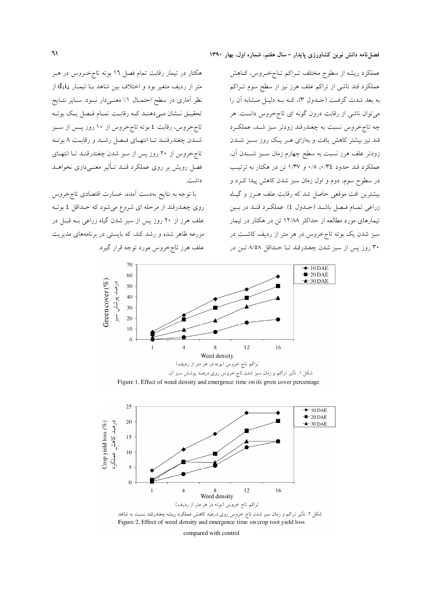عملکرد ریشه از سطوح مختلف تـراکم تـاجخـروس، کــاهش عملکرد قند ناشی از تراکم علف هرز نیز از سطح سوم تـراکم به بعد شدت گرفت (جلدول ۳)، کـه بـه دليـل مـشابه آن را می توان ناشی از رقابت درون گونه ای تاجخروس دانست. هر چه تاجخروس نسبت به چغندرقند زودتر سبز شـد، عملكـرد قند نیز بیشتر کاهش یافت و بهازای هـر یـک روز سـبز شــدن زودتر علف هرز نسبت به سطح چهارم زمان سـبز شـــدن آن، عملکرد قند حدود ۰/۸،۰/۳٤ و ۱/۳۷ تن در هکتار به ترتیب در سطوح سوم، دوم و اول زمان سبز شدن کاهش پیدا کــرد و بیشترین افت موقعی حاصل شد که رقابت علف هـرز و گیـاه زراعي تمام فيصل باشيد (جيدول ٤). عملكرد قنيد در بين تیمارهای مورد مطالعه از حداکثر ۱۲/۸۸ تن در هکتار در تیمار سبز شدن یک بوته تاجخروس در هر متر از ردیف کاشت در ۳۰ روز پس از سبز شدن چغندرقند تـا حـداقل ۸/۵۸ تـن در

هکتار در تیمار رقابت تمام فصل ۱۲ بوته تاجخروس در هـر متر از ردیف متغیر بود و اختلاف بین شاهد بــا تیمــار  $\mathrm{d}_1$ از نظر آماری در سطح احتمـال ۱٪ معنـی،دار نبـود. سـایر نتـایج تحقیـق نــشان مـی‹هنـد کـه رقابـت تمـام فـصل یـک بوتـه تاج خروس، رقابت ٤ بوته تاج خروس از ١٠ روز پــس از ســبز شدن چغندرقنـد تــا انتهــاي فــصل رشــد و رقابــت ٨ بوتــه تاج خروس از ۲۰ روز پس از سبز شدن چغندرقنـد تـا انتهـای فصل رویش بر روی عملکرد قنـد تـأثیر معنـی،داری نخواهــد داشت.

با توجه به نتایج بهدست أمده، خسارت اقتصادی تاج خروس روی چغندرقند از مرحله ای شروع میشود که حـداقل ٤ بوتـه علف هرز از ۲۰ روز پس از سبز شدن گیاه زراعی بــه قبــل در مزرعه ظاهر شده و رشد کند، که بایستی در برنامههای مدیریت علف هرز تاجخروس مورد توجه قرار گیرد.



Figure 1. Effect of weed density and emergence time on it's grren cover percentage.



Figure 2. Effect of weed density and emergence time on crop root yield loss

compared with control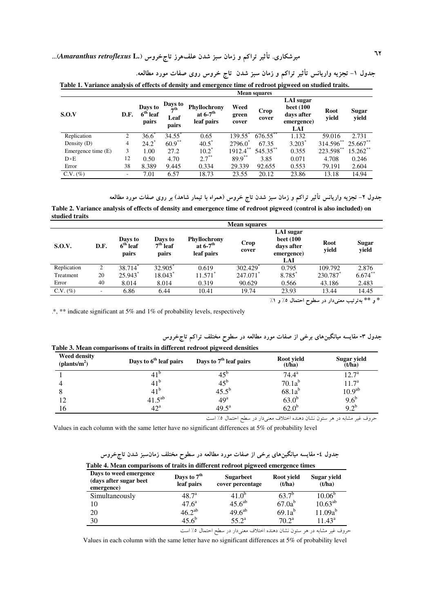٦٢<br>میرشکاری. تأثیر تراکم و زمان سبز شدن علفهرز تاجخروس (.Amaranthus retroflexus L...

|                    | <b>Mean squares</b> |                                |                                      |                                                      |                        |               |                                                                                |               |                |  |
|--------------------|---------------------|--------------------------------|--------------------------------------|------------------------------------------------------|------------------------|---------------|--------------------------------------------------------------------------------|---------------|----------------|--|
| S.O.V              | D.F.                | Days to<br>$6th$ leaf<br>pairs | Days to<br>$\pi$ th<br>Leaf<br>pairs | Phyllochrony<br>at $6-7$ <sup>th</sup><br>leaf pairs | Weed<br>green<br>cover | Crop<br>cover | <b>LAI</b> sugar<br><b>beet</b> (100<br>days after<br>emergence)<br><b>LAI</b> | Root<br>yield | Sugar<br>yield |  |
| Replication        | 2                   | $36.6^{\degree}$               | 34.55                                | 0.65                                                 | 139.55*                | $676.55$ **   | 1.132                                                                          | 59.016        | 2.731          |  |
| Density $(D)$      | $\overline{4}$      | $24.2$ <sup>*</sup>            | $60.9***$                            | $40.5^*$                                             | $2796.0^*$             | 67.35         | $3.203*$                                                                       | 314.596**     | 25.667**       |  |
| Emergence time (E) | 3                   | 1.00                           | 27.2                                 | $10.2^*$                                             | $1912.4***$            | $545.35***$   | 0.355                                                                          | 223.598**     | 15.262**       |  |
| $D \times E$       | 12                  | 0.50                           | 4.70                                 | $2.7***$                                             | $89.9***$              | 3.85          | 0.071                                                                          | 4.708         | 0.246          |  |
| Error              | 38                  | 8.389                          | 9.445                                | 0.334                                                | 29.339                 | 92.655        | 0.553                                                                          | 79.191        | 2.604          |  |
| $C.V. (\%)$        | -                   | 7.01                           | 6.57                                 | 18.73                                                | 23.55                  | 20.12         | 23.86                                                                          | 13.18         | 14.94          |  |

جدول ۱– تجزیه واریانس تأثیر تراکم و زمان سبز شدن تاج خروس روی صفات مورد مطالعه.

جدول ۲– تجزیه واریانس تأثیر تراکم و زمان سبز شدن تاج خروس (همراه با تیمار شاهد) بر روی صفات مورد مطالعه

Table 2. Variance analysis of effects of density and emergence time of redroot pigweed (control is also included) on studied traits

|             | <b>Mean squares</b> |                                |                                |                                                             |               |                                                                  |               |                |  |
|-------------|---------------------|--------------------------------|--------------------------------|-------------------------------------------------------------|---------------|------------------------------------------------------------------|---------------|----------------|--|
| S.O.V.      | D.F.                | Days to<br>$6th$ leaf<br>pairs | Days to<br>$7th$ leaf<br>pairs | <b>Phyllochrony</b><br>at $6-7$ <sup>th</sup><br>leaf pairs | Crop<br>cover | LAI sugar<br><b>beet</b> (100<br>days after<br>emergence)<br>LAI | Root<br>yield | Sugar<br>yield |  |
| Replication | 2                   | 38.714                         | 32.905 <sup>*</sup>            | 0.619                                                       | 302.429       | 0.795                                                            | 109.792       | 2.876          |  |
| Treatment   | 20                  | 25.943*                        | 18.043                         | 11.571                                                      | 247.071       | 8.785*                                                           | 230.787       | $6.674***$     |  |
| Error       | 40                  | 8.014                          | 8.014                          | 0.319                                                       | 90.629        | 0.566                                                            | 43.186        | 2.483          |  |
| $C.V. (\%)$ | ۰                   | 6.86                           | 6.44                           | 10.41                                                       | 19.74         | 23.93                                                            | 13.44         | 14.45          |  |

.<br>\* و \*\* بهترتیب معنیدار در سطوح احتمال ٥٪ و ١٪

\*, \*\* indicate significant at 5% and 1% of probability levels, respectively

جدول ۳- مقایسه میانگینهای برخی از صفات مورد مطالعه در سطوح مختلف تراکم تاجخروس Table 3. Mean comparisons of traits in different redroot pigweed densities

| <b>Weed density</b><br>$(\text{plants/m}^2)$ | Days to 6 <sup>th</sup> leaf pairs | Days to $7th$ leaf pairs                | Root yield<br>(t/ha)                                                                                                                                                                                                           | Sugar yield<br>(t/ha) |
|----------------------------------------------|------------------------------------|-----------------------------------------|--------------------------------------------------------------------------------------------------------------------------------------------------------------------------------------------------------------------------------|-----------------------|
|                                              | $41^{\circ}$                       |                                         | $74.4^{\rm a}$                                                                                                                                                                                                                 | $12.7^{\rm a}$        |
|                                              | 41 <sup>b</sup>                    | $45^{\circ}$                            | $70.1a^b$                                                                                                                                                                                                                      | $11.7^{\circ}$        |
|                                              | $41^{\circ}$                       | $45.5^{b}$                              | $68.1a^b$                                                                                                                                                                                                                      | 10.9 <sup>ab</sup>    |
| 12                                           | $41.5^{ab}$                        | 49 <sup>a</sup>                         | 63.0 <sup>b</sup>                                                                                                                                                                                                              | $9.6^{\rm b}$         |
| 16                                           | $42^{\mathrm{a}}$                  | $49.5^{\rm a}$                          | $62.0^{\circ}$                                                                                                                                                                                                                 | $9.2^{b}$             |
|                                              |                                    | $\sim$ $1$ $\sim$ $\sim$ $1$ $\sim$ $1$ | the contract of the contract of the contract of the contract of the contract of the contract of the contract of the contract of the contract of the contract of the contract of the contract of the contract of the contract o |                       |

حروف غیر مشابه در هر ستون نشان دهنده اختلاف معنیدار در سطح احتمال ۵٪ است

Values in each column with the same letter have no significant differences at 5% of probability level

| جدول ٤- مقایسه میانگینهای برخی از صفات مورد مطالعه در سطوح مختلف زمانسبز شدن تاجِخروس |  |  |  |  |  |  |
|---------------------------------------------------------------------------------------|--|--|--|--|--|--|
|---------------------------------------------------------------------------------------|--|--|--|--|--|--|

| Days to weed emergence<br>(days after sugar beet)<br>emergence) | Days to $7th$<br>leaf pairs | <b>Sugarbeet</b><br>cover percentage | Root vield<br>(t/ha) | Sugar yield<br>(t/ha) |
|-----------------------------------------------------------------|-----------------------------|--------------------------------------|----------------------|-----------------------|
| Simultaneously                                                  | $48.7^{\circ}$              | $41.0^{\circ}$                       | $63.7^{b}$           | $10.06^{b}$           |
| 10                                                              | $47.6^{\rm a}$              | $45.6^{ab}$                          | $67.0a^b$            | $10.63^{ab}$          |
| 20                                                              | $46.2^{ab}$                 | $49.6^{ab}$                          | $69.1a^b$            | $11.09a^{b}$          |
| 30                                                              | $45.6^{b}$                  | $55.2^{\circ}$                       | $70.2^{\rm a}$       | $11.43^a$             |

حروف غیر مشابه در هر ستون نشان دهنده اختلاف معنیدار در سطح احتمال ۰٪ است

Values in each column with the same letter have no significant differences at 5% of probability level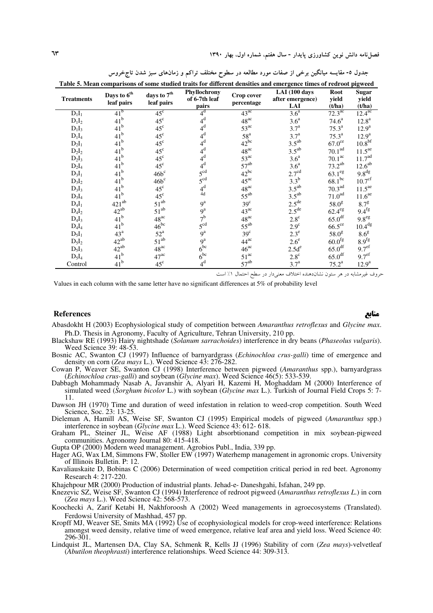| Table 5. Mean comparisons of some studied traits for different densities and emergence times of redroot pigweed |                                       |                                    |                                        |                          |                                          |                         |                                 |  |  |
|-----------------------------------------------------------------------------------------------------------------|---------------------------------------|------------------------------------|----------------------------------------|--------------------------|------------------------------------------|-------------------------|---------------------------------|--|--|
| <b>Treatments</b>                                                                                               | Days to 6 <sup>th</sup><br>leaf pairs | days to $7^{\rm th}$<br>leaf pairs | Phyllochrony<br>of 6-7th leaf<br>pairs | Crop cover<br>percentage | LAI(100 days)<br>after emergence)<br>LAI | Root<br>yield<br>(t/ha) | <b>Sugar</b><br>yield<br>(t/ha) |  |  |
| $D_1I_1$                                                                                                        | 41 <sup>b</sup>                       | $45^{\circ}$                       | 4 <sup>d</sup>                         | $43^{ac}$                | 3.6 <sup>a</sup>                         | $72.3^{\overline{ac}}$  | 12.4 <sup>ac</sup>              |  |  |
| $D_1I_2$                                                                                                        | $41^{\rm b}$                          | $45^{\circ}$                       | $4^d$                                  | $48^{ac}$                | 3.6 <sup>a</sup>                         | $74.6^{\rm a}$          | $12.8^{\rm a}$                  |  |  |
| $D_1I_3$                                                                                                        | 41 <sup>b</sup>                       | $45^{\circ}$                       | $4^d$                                  | $53^{ac}$                | 3.7 <sup>a</sup>                         | $75.3^{\rm a}$          | $12.9^a$                        |  |  |
| $D_1I_4$                                                                                                        | $41^{\rm b}$                          | $45^{\circ}$                       | $4^d$                                  | 58 <sup>a</sup>          | 3.7 <sup>a</sup>                         | $75.3^{\rm a}$          | $12.9^{\rm a}$                  |  |  |
| $D_2I_1$                                                                                                        | 41 <sup>b</sup>                       | $45^{\circ}$                       | $4^d$                                  | $42^{bc}$                | $3.5^{ab}$                               | $67.0^{\text{ce}}$      | 10.8 <sup>bf</sup>              |  |  |
| $D_2I_2$                                                                                                        | 41 <sup>b</sup>                       | $45^{\circ}$                       | $4^d$                                  | $48^{ac}$                | $3.5^{ab}$                               | 70.1 <sup>ad</sup>      | 11.5 <sup>ae</sup>              |  |  |
| $D_2I_3$                                                                                                        | 41 <sup>b</sup>                       | $45^{\circ}$                       | $4^d$                                  | $53^{ac}$                | 3.6 <sup>a</sup>                         | 70.1 <sup>ac</sup>      | 11.7 <sup>ad</sup>              |  |  |
| $D_2I_4$                                                                                                        | 41 <sup>b</sup>                       | $45^{\circ}$                       | $4^d$                                  | $57^{ab}$                | 3.6 <sup>a</sup>                         | $73.2^{ab}$             | $12.6^{ab}$                     |  |  |
| $D_3I_1$                                                                                                        | 41 <sup>b</sup>                       | $46b^c$                            | 5 <sup>cd</sup>                        | $42^{bc}$                | $2.7^{\text{cd}}$                        | $63.1^\text{eg}$        | 9.8 <sup>dg</sup>               |  |  |
| $D_3I_2$                                                                                                        | 41 <sup>b</sup>                       | $46b^c$                            | 5 <sup>cd</sup>                        | $45^{ac}$                | $3.3^b$                                  | $68.1^{bc}$             | 10.7 <sup>cf</sup>              |  |  |
| $D_3I_3$                                                                                                        | 41 <sup>b</sup>                       | $45^{\circ}$                       | $4^d$                                  | $48^{ac}$                | $3.5^{ab}$                               | 70.3 <sup>ad</sup>      | 11.5 <sup>ae</sup>              |  |  |
| $D_3I_4$                                                                                                        | 41 <sup>b</sup>                       | $45^{\circ}$                       | 4d                                     | $55^{ab}$                | $3.5^{ab}$                               | 71.0 <sup>ad</sup>      | 11.6 <sup>ae</sup>              |  |  |
| $D_4I_1$                                                                                                        | $421^{ab}$                            | $51^{ab}$                          | $9^{\rm a}$                            | 39 <sup>c</sup>          | $2.5^{\text{de}}$<br>2.5 <sup>de</sup>   | 58.0 <sup>g</sup>       | 8.7 <sup>g</sup>                |  |  |
| $D_4I_2$                                                                                                        | $42^{ab}$                             | $51^{ab}$                          | $9^a$                                  | $43^{ac}$                |                                          | $62.4^\text{eg}$        | 9.4 <sup>fg</sup>               |  |  |
| $D_4I_3$                                                                                                        | 41 <sup>b</sup>                       | $48^{ac}$                          | 7 <sup>b</sup>                         | $48^{ac}$                | $2.8^{\circ}$                            | 65.0 <sup>df</sup>      | 9.8 <sup>eg</sup>               |  |  |
| $D_4I_4$                                                                                                        | 41 <sup>b</sup>                       | $46^{bc}$                          | 5 <sup>cd</sup>                        | $55^{ab}$                | $2.9^{\circ}$                            | $66.5^{\circ\circ}$     | 10.4 <sup>dg</sup>              |  |  |
| $D_5I_1$                                                                                                        | $43^{\mathrm{a}}$                     | $52^{\mathrm{a}}$                  | $9^{\rm a}$                            | 39 <sup>c</sup>          | $2.3^e$                                  | 58.0 <sup>g</sup>       | 8.6 <sup>g</sup>                |  |  |
| $D_5I_2$                                                                                                        | $42^{ab}$                             | $51^{ab}$                          | $9^{\rm a}$                            | $44^{\text{ac}}$         | $2.6^e$                                  | $60.0^{\text{fg}}$      | 8.9 <sup>fg</sup>               |  |  |
| $D_5I_3$                                                                                                        | $42^{ab}$                             | $48^{ac}$                          | $6^{bc}$                               | $46^{ac}$                | $2.5d^e$                                 | 65.0 <sup>df</sup>      | 9.7 <sup>ef</sup>               |  |  |
| $D_5I_4$                                                                                                        | 41 <sup>b</sup>                       | $47^{\rm ac}$                      | $6^{bc}$                               | $51^{ac}$                | $2.8^{\circ}$                            | 65.0 <sup>df</sup>      | 9.7 <sup>ef</sup>               |  |  |
| Control                                                                                                         | 41 <sup>b</sup>                       | $45^{\circ}$                       | 4 <sup>d</sup>                         | $57^{ab}$                | 3.7 <sup>a</sup>                         | $75.2^{\rm a}$          | $12.9^a$                        |  |  |

جدول ٥- مقایسه میانگین برخی از صفات مورد مطالعه در سطوح مختلف تراکم و زمانهای سبز شدن تاجخروس

حروف غیرمشابه در هر ستون نشاندهنده اختلاف معنیدار در سطح احتمال ١٪ است

Values in each column with the same letter have no significant differences at 5% of probability level

#### **References**

- Abasdokht H (2003) Ecophysiological study of competition between Amaranthus retroflexus and Glycine max. Ph.D. Thesis in Agronomy, Faculty of Agriculture, Tehran University, 210 pp.
- Blackshaw RE (1993) Hairy nightshade (Solanum sarrachoides) interference in dry beans (Phaseolus vulgaris). Weed Science  $39:48-53$ .
- Bosnic AC, Swanton CJ (1997) Influence of barnyardgrass (*Echinochloa crus-galli*) time of emergence and density on corn (Zea mays L.). Weed Science 43: 276-282.
- Cowan P, Weaver SE, Swanton CJ (1998) Interference between pigweed (Amaranthus spp.), barnyardgrass (Echinochloa crus-galli) and soybean (Glycine max). Weed Science 46(5): 533-539.<br>Dabbagh Mohammady Nasab A, Javanshir A, Alyari H, Kazemi H, Moghaddam M (2000) Interference of
- simulated weed (Sorghum bicolor L.) with soybean (Glycine max L.). Turkish of Journal Field Crops 5: 7-11.
- Dawson JH (1970) Time and duration of weed infestation in relation to weed-crop competition. South Weed Science, Soc. 23: 13-25.
- Dieleman A, Hamill AS, Weise SF, Swanton CJ (1995) Empirical models of pigweed (Amaranthus spp.) interference in soybean (Glycine max L.). Weed Science 43: 612-618.
- Graham PL, Steiner JL, Weise AF (1988) Light absorbtionand competition in mix soybean-pigweed communities. Agronomy Journal 80: 415-418.
- 
- Gupta OP (2000) Modern weed management. Agrobios Publ., India, 339 pp.<br>Hager AG, Wax LM, Simmons FW, Stoller EW (1997) Waterhemp management in agronomic crops. University of Illinois Bulletin. P: 12.
- Kavaliauskaite D, Bobinas C (2006) Determination of weed competition critical period in red beet. Agronomy Research 4: 217-220.

Khajehpour MR (2000) Production of industrial plants. Jehad-e- Daneshgahi, Isfahan, 249 pp.

- Knezevic SZ, Weise SF, Swanton CJ (1994) Interference of redroot pigweed (Amaranthus retroflexus L.) in corn (Zea mays L.). Weed Science 42: 568-573.
- Koochecki A, Zarif Ketabi H, Nakhforoosh A (2002) Weed managements in agroecosystems (Translated). Ferdowsi University of Mashhad, 457 pp.
- Kropff MJ, Weaver SE, Smits MA (1992) Use of ecophysiological models for crop-weed interference: Relations amongst weed density, relative time of weed emergence, relative leaf area and yield loss. Weed Science 40: 296-301.
- Lindquist JL, Martensen DA, Clay SA, Schmenk R, Kells JJ (1996) Stability of corn (Zea mays)-velvetleaf (Abutilon theophrasti) interference relationships. Weed Science 44: 309-313.

منابع